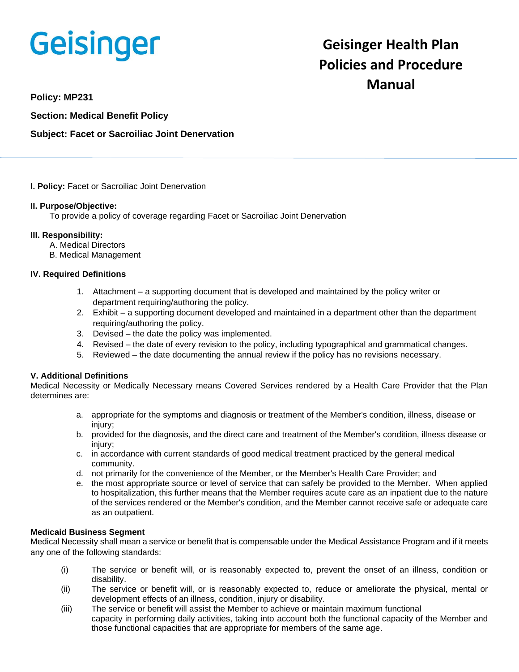# **Geisinger**

# **Geisinger Health Plan Policies and Procedure Manual**

**Policy: MP231**

**Section: Medical Benefit Policy**

# **Subject: Facet or Sacroiliac Joint Denervation**

**I. Policy:** Facet or Sacroiliac Joint Denervation

## **II. Purpose/Objective:**

To provide a policy of coverage regarding Facet or Sacroiliac Joint Denervation

#### **III. Responsibility:**

- A. Medical Directors
- B. Medical Management

## **IV. Required Definitions**

- 1. Attachment a supporting document that is developed and maintained by the policy writer or department requiring/authoring the policy.
- 2. Exhibit a supporting document developed and maintained in a department other than the department requiring/authoring the policy.
- 3. Devised the date the policy was implemented.
- 4. Revised the date of every revision to the policy, including typographical and grammatical changes.
- 5. Reviewed the date documenting the annual review if the policy has no revisions necessary.

## **V. Additional Definitions**

Medical Necessity or Medically Necessary means Covered Services rendered by a Health Care Provider that the Plan determines are:

- a. appropriate for the symptoms and diagnosis or treatment of the Member's condition, illness, disease or injury;
- b. provided for the diagnosis, and the direct care and treatment of the Member's condition, illness disease or injury;
- c. in accordance with current standards of good medical treatment practiced by the general medical community.
- d. not primarily for the convenience of the Member, or the Member's Health Care Provider; and
- e. the most appropriate source or level of service that can safely be provided to the Member. When applied to hospitalization, this further means that the Member requires acute care as an inpatient due to the nature of the services rendered or the Member's condition, and the Member cannot receive safe or adequate care as an outpatient.

#### **Medicaid Business Segment**

Medical Necessity shall mean a service or benefit that is compensable under the Medical Assistance Program and if it meets any one of the following standards:

- (i) The service or benefit will, or is reasonably expected to, prevent the onset of an illness, condition or disability.
- (ii) The service or benefit will, or is reasonably expected to, reduce or ameliorate the physical, mental or development effects of an illness, condition, injury or disability.
- (iii) The service or benefit will assist the Member to achieve or maintain maximum functional capacity in performing daily activities, taking into account both the functional capacity of the Member and those functional capacities that are appropriate for members of the same age.